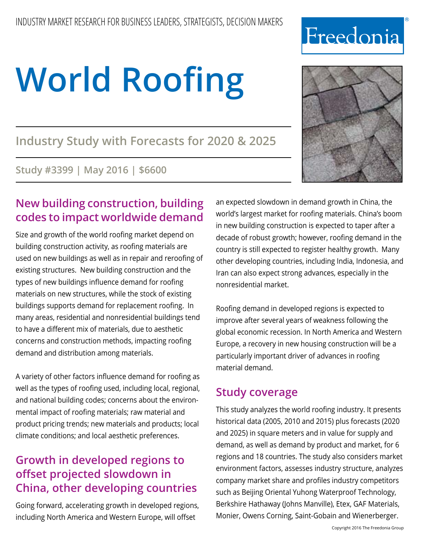# **Industry Study with Forecasts for 2020 & 2025**

**Study #3399 | May 2016 | \$6600**

# **New building construction, building codes to impact worldwide demand**

Size and growth of the world roofing market depend on building construction activity, as roofing materials are used on new buildings as well as in repair and reroofing of existing structures. New building construction and the types of new buildings influence demand for roofing materials on new structures, while the stock of existing buildings supports demand for replacement roofing. In many areas, residential and nonresidential buildings tend to have a different mix of materials, due to aesthetic concerns and construction methods, impacting roofing demand and distribution among materials.

A variety of other factors influence demand for roofing as well as the types of roofing used, including local, regional, and national building codes; concerns about the environmental impact of roofing materials; raw material and product pricing trends; new materials and products; local climate conditions; and local aesthetic preferences.

# **Growth in developed regions to offset projected slowdown in China, other developing countries**

Going forward, accelerating growth in developed regions, including North America and Western Europe, will offset

an expected slowdown in demand growth in China, the world's largest market for roofing materials. China's boom in new building construction is expected to taper after a decade of robust growth; however, roofing demand in the country is still expected to register healthy growth. Many other developing countries, including India, Indonesia, and Iran can also expect strong advances, especially in the nonresidential market.

Roofing demand in developed regions is expected to improve after several years of weakness following the global economic recession. In North America and Western Europe, a recovery in new housing construction will be a particularly important driver of advances in roofing material demand.

# **Study coverage**

This study analyzes the world roofing industry. It presents historical data (2005, 2010 and 2015) plus forecasts (2020 and 2025) in square meters and in value for supply and demand, as well as demand by product and market, for 6 regions and 18 countries. The study also considers market environment factors, assesses industry structure, analyzes company market share and profiles industry competitors such as Beijing Oriental Yuhong Waterproof Technology, Berkshire Hathaway (Johns Manville), Etex, GAF Materials, Monier, Owens Corning, Saint-Gobain and Wienerberger.



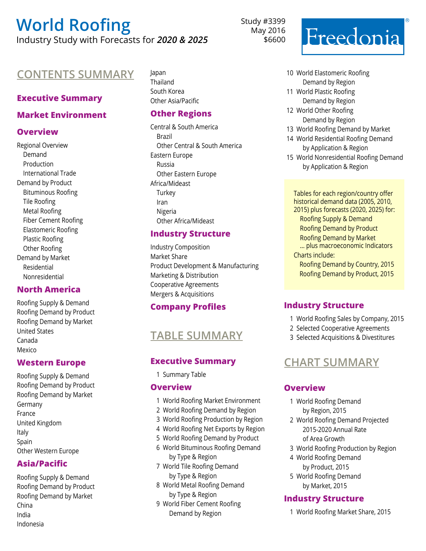Industry Study with Forecasts for *2020 & 2025*

## **Contents Summary** Japan

#### **Executive Summary**

#### **Market Environment**

#### **Overview**

Regional Overview Demand Production International Trade Demand by Product Bituminous Roofing Tile Roofing Metal Roofing Fiber Cement Roofing Elastomeric Roofing Plastic Roofing Other Roofing Demand by Market Residential Nonresidential

#### **North America**

Roofing Supply & Demand Roofing Demand by Product Roofing Demand by Market United States Canada Mexico

#### **Western Europe**

Roofing Supply & Demand Roofing Demand by Product Roofing Demand by Market Germany France United Kingdom Italy Spain Other Western Europe

#### **Asia/Pacific**

Roofing Supply & Demand Roofing Demand by Product Roofing Demand by Market China India Indonesia

Thailand South Korea Other Asia/Pacific

#### **Other Regions**

Central & South America Brazil Other Central & South America Eastern Europe Russia Other Eastern Europe Africa/Mideast **Turkey** Iran Nigeria Other Africa/Mideast

#### **Industry Structure**

Industry Composition Market Share Product Development & Manufacturing Marketing & Distribution Cooperative Agreements Mergers & Acquisitions

#### **Company Profiles**

## **Table sUMMARY**

#### **Executive Summary**

1 Summary Table

#### **Overview**

- 1 World Roofing Market Environment
- 2 World Roofing Demand by Region
- 3 World Roofing Production by Region
- 4 World Roofing Net Exports by Region
- 5 World Roofing Demand by Product
- 6 World Bituminous Roofing Demand by Type & Region
- 7 World Tile Roofing Demand by Type & Region
- 8 World Metal Roofing Demand by Type & Region
- 9 World Fiber Cement Roofing Demand by Region

Study #3399 May 2016 \$6600



- 10 World Elastomeric Roofing Demand by Region
- 11 World Plastic Roofing Demand by Region
- 12 World Other Roofing Demand by Region
- 13 World Roofing Demand by Market
- 14 World Residential Roofing Demand by Application & Region
- 15 World Nonresidential Roofing Demand by Application & Region

Tables for each region/country offer historical demand data (2005, 2010, 2015) plus forecasts (2020, 2025) for: Roofing Supply & Demand Roofing Demand by Product Roofing Demand by Market ... plus macroeconomic Indicators Charts include: Roofing Demand by Country, 2015 Roofing Demand by Product, 2015

#### **Industry Structure**

- 1 World Roofing Sales by Company, 2015
- 2 Selected Cooperative Agreements
- 3 Selected Acquisitions & Divestitures

# **Chart sUMMARY**

#### **Overview**

- 1 World Roofing Demand by Region, 2015
- 2 World Roofing Demand Projected 2015-2020 Annual Rate of Area Growth
- 3 World Roofing Production by Region
- 4 World Roofing Demand by Product, 2015
- 5 World Roofing Demand by Market, 2015

#### **Industry Structure**

1 World Roofing Market Share, 2015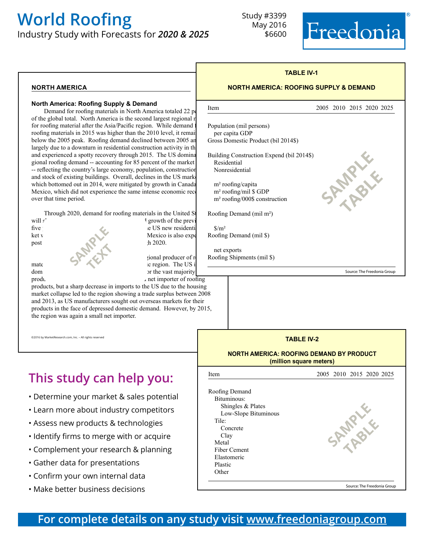Industry Study with Forecasts for *2020 & 2025*



#### **north america**

#### **North America: Roofing Supply & Demand**

Demand for roofing materials in North America totaled 22 percent of the global total. North America is the second largest regional r for roofing material after the Asia/Pacific region. While demand i roofing materials in 2015 was higher than the 2010 level, it remain below the 2005 peak. Roofing demand declined between 2005 an largely due to a downturn in residential construction activity in th and experienced a spotty recovery through 2015. The US domina gional roofing demand -- accounting for 85 percent of the market -- reflecting the country's large economy, population, construction and stock of existing buildings. Overall, declines in the US mark which bottomed out in 2014, were mitigated by growth in Canada Mexico, which did not experience the same intense economic rece over that time period.

|                 | Through 2020, demand for roofing materials in the United St | R  |
|-----------------|-------------------------------------------------------------|----|
| will $\epsilon$ | <sup>1</sup> growth of the previ                            |    |
| five            | le US new residenti                                         |    |
| ket v           | Mexico is also expe                                         | Ro |
| post            | $th$ 2020.                                                  |    |
|                 | tional producer of r                                        | Ro |
| mate            | ic region. The US i                                         |    |

gional producer of regional mate in 2015, and the Asia and the Asia and the Asia and the Asia and the Asia and the Asia and the US is the US is the Asia and the Asia and the Asia and the Asia and the Asia and the Asia and the Asia and the Asia and th dom or the vast majority production. The region of region has historical production. The region of region  $\mu$  net importer of roofing

products, but a sharp decrease in imports to the US due to the housing market collapse led to the region showing a trade surplus between 2008 and 2013, as US manufacturers sought out overseas markets for their products in the face of depressed domestic demand. However, by 2015, the region was again a small net importer.

©2016 by MarketResearch.com, Inc. - All rights res

# **This study can help you:**

- Determine your market & sales potential
- Learn more about industry competitors
- Assess new products & technologies
- Identify firms to merge with or acquire
- Complement your research & planning
- Gather data for presentations
- Confirm your own internal data
- Make better business decisions

| <b>NORTH AMERICA: ROOFING SUPPLY &amp; DEMAND</b>                                                     |                          |  |  |
|-------------------------------------------------------------------------------------------------------|--------------------------|--|--|
| Item                                                                                                  | 2005 2010 2015 2020 2025 |  |  |
| Population (mil persons)<br>per capita GDP<br>Gross Domestic Product (bil 2014\$)                     |                          |  |  |
| Building Construction Expend (bil 2014\$)<br>Residential<br>Nonresidential                            |                          |  |  |
| $m2$ roofing/capita<br>m <sup>2</sup> roofing/mil \$ GDP<br>m <sup>2</sup> roofing/000\$ construction |                          |  |  |
| Roofing Demand (mil m <sup>2</sup> )                                                                  |                          |  |  |
| $\frac{\text{S}}{\text{m}^2}$<br>Roofing Demand (mil \$)                                              |                          |  |  |
| net exports<br>Roofing Shipments (mil \$)                                                             |                          |  |  |

**TABLE IV-1**



#### **TABLE IV-2 NORTH AMERICA: ROOFING DEMAND BY PRODUCT (million square meters)** Item 2005 2010 2015 2020 2025 Roofing Demand Bituminous: Shingles & Plates Low-Slope Bituminous Tile: Concrete Clay Metal Fiber Cement Elastomeric Plastic Other Source: The Freedonia Group **SPARALE table**

### **For complete details on any study visit [www.freedoniagroup.com](http://www.freedoniagroup.com/Home.aspx?ReferrerId=FM-BRO)**